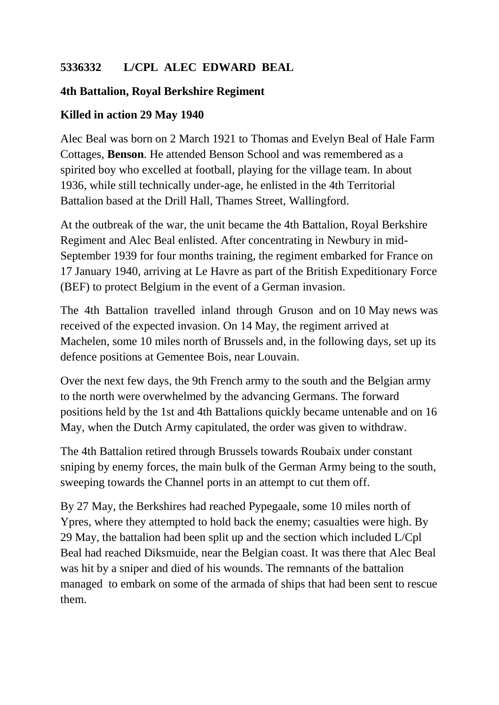## **5336332 L/CPL ALEC EDWARD BEAL**

## **4th Battalion, Royal Berkshire Regiment**

## **Killed in action 29 May 1940**

Alec Beal was born on 2 March 1921 to Thomas and Evelyn Beal of Hale Farm Cottages, **Benson**. He attended Benson School and was remembered as a spirited boy who excelled at football, playing for the village team. In about 1936, while still technically under-age, he enlisted in the 4th Territorial Battalion based at the Drill Hall, Thames Street, Wallingford.

At the outbreak of the war, the unit became the 4th Battalion, Royal Berkshire Regiment and Alec Beal enlisted. After concentrating in Newbury in mid-September 1939 for four months training, the regiment embarked for France on 17 January 1940, arriving at Le Havre as part of the British Expeditionary Force (BEF) to protect Belgium in the event of a German invasion.

The 4th Battalion travelled inland through Gruson and on 10 May news was received of the expected invasion. On 14 May, the regiment arrived at Machelen, some 10 miles north of Brussels and, in the following days, set up its defence positions at Gementee Bois, near Louvain.

Over the next few days, the 9th French army to the south and the Belgian army to the north were overwhelmed by the advancing Germans. The forward positions held by the 1st and 4th Battalions quickly became untenable and on 16 May, when the Dutch Army capitulated, the order was given to withdraw.

The 4th Battalion retired through Brussels towards Roubaix under constant sniping by enemy forces, the main bulk of the German Army being to the south, sweeping towards the Channel ports in an attempt to cut them off.

By 27 May, the Berkshires had reached Pypegaale, some 10 miles north of Ypres, where they attempted to hold back the enemy; casualties were high. By 29 May, the battalion had been split up and the section which included L/Cpl Beal had reached Diksmuide, near the Belgian coast. It was there that Alec Beal was hit by a sniper and died of his wounds. The remnants of the battalion managed to embark on some of the armada of ships that had been sent to rescue them.